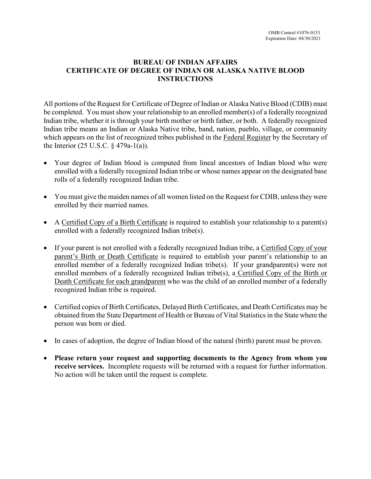# **BUREAU OF INDIAN AFFAIRS CERTIFICATE OF DEGREE OF INDIAN OR ALASKA NATIVE BLOOD INSTRUCTIONS**

All portions of the Request for Certificate of Degree of Indian or Alaska Native Blood (CDIB) must be completed. You must show your relationship to an enrolled member(s) of a federally recognized Indian tribe, whether it is through your birth mother or birth father, or both. A federally recognized Indian tribe means an Indian or Alaska Native tribe, band, nation, pueblo, village, or community which appears on the list of recognized tribes published in the Federal Register by the Secretary of the Interior (25 U.S.C. § 479a-1(a)).

- Your degree of Indian blood is computed from lineal ancestors of Indian blood who were enrolled with a federally recognized Indian tribe or whose names appear on the designated base rolls of a federally recognized Indian tribe.
- You must give the maiden names of all women listed on the Request for CDIB, unless they were enrolled by their married names.
- A Certified Copy of a Birth Certificate is required to establish your relationship to a parent(s) enrolled with a federally recognized Indian tribe(s).
- If your parent is not enrolled with a federally recognized Indian tribe, a Certified Copy of your parent's Birth or Death Certificate is required to establish your parent's relationship to an enrolled member of a federally recognized Indian tribe(s). If your grandparent(s) were not enrolled members of a federally recognized Indian tribe(s), a Certified Copy of the Birth or Death Certificate for each grandparent who was the child of an enrolled member of a federally recognized Indian tribe is required.
- Certified copies of Birth Certificates, Delayed Birth Certificates, and Death Certificates may be obtained from the State Department of Health or Bureau of Vital Statistics in the State where the person was born or died.
- In cases of adoption, the degree of Indian blood of the natural (birth) parent must be proven.
- **Please return your request and supporting documents to the Agency from whom you receive services.** Incomplete requests will be returned with a request for further information. No action will be taken until the request is complete.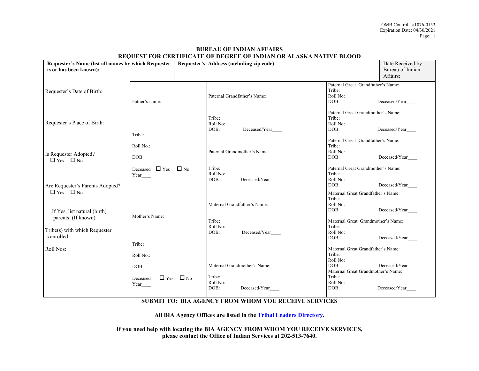| Requester's Name (list all names by which Requester  <br>is or has been known): |                                           | <u>KEQUEST FOR CERTIFICATE OF DEGREE OF INDIAN OR ALASKA NATIVE BEOOD</u><br>Requester's Address (including zip code): |                                             | Date Received by<br>Bureau of Indian<br>Affairs:                                                       |               |
|---------------------------------------------------------------------------------|-------------------------------------------|------------------------------------------------------------------------------------------------------------------------|---------------------------------------------|--------------------------------------------------------------------------------------------------------|---------------|
| Requester's Date of Birth:                                                      | Father's name:                            |                                                                                                                        | Paternal Grandfather's Name:                | Paternal Great Grandfather's Name:<br>Tribe:<br>Roll No:<br>DOB:                                       | Deceased/Year |
| Requester's Place of Birth:                                                     | Tribe:                                    |                                                                                                                        | Tribe:<br>Roll No:<br>DOB:<br>Deceased/Year | Paternal Great Grandmother's Name:<br>Tribe:<br>Roll No:<br>DOB:                                       | Deceased/Year |
| Is Requester Adopted?<br>$\Box$ Yes $\Box$ No                                   | Roll No.:<br>DOB:                         |                                                                                                                        | Paternal Grandmother's Name:                | Paternal Great Grandfather's Name:<br>Tribe:<br>Roll No:<br>DOB:                                       | Deceased/Year |
| Are Requester's Parents Adopted?                                                | Deceased $\Box$ Yes $\Box$ No<br>Year____ |                                                                                                                        | Tribe:<br>Roll No:<br>DOB:<br>Deceased/Year | Paternal Great Grandmother's Name:<br>Tribe:<br>Roll No:<br>DOB:                                       | Deceased/Year |
| $\Box$ Yes $\Box$ No<br>If Yes, list natural (birth)<br>parents: (If known)     | Mother's Name:                            |                                                                                                                        | Maternal Grandfather's Name:<br>Tribe:      | Maternal Great Grandfather's Name:<br>Tribe:<br>Roll No:<br>DOB:<br>Maternal Great Grandmother's Name: | Deceased/Year |
| Tribe(s) with which Requester<br>is enrolled:                                   | Tribe:                                    |                                                                                                                        | Roll No:<br>Deceased/Year<br>DOB:           | Tribe:<br>Roll No:<br>DOB:                                                                             | Deceased/Year |
| Roll Nos:                                                                       | Roll No.:<br>DOB:                         |                                                                                                                        | Maternal Grandmother's Name:                | Maternal Great Grandfather's Name:<br>Tribe:<br>Roll No:<br>DOB:<br>Maternal Great Grandmother's Name: | Deceased/Year |
|                                                                                 | Deceased<br>Year_                         | $\Box$ Yes $\Box$ No                                                                                                   | Tribe:<br>Roll No:<br>DOB:<br>Deceased/Year | Tribe:<br>Roll No:<br>DOB:                                                                             | Deceased/Year |

### **BUREAU OF INDIAN AFFAIRS REQUEST FOR CERTIFICATE OF DEGREE OF INDIAN OR ALASKA NATIVE BLOOD**

## **SUBMIT TO: BIA AGENCY FROM WHOM YOU RECEIVE SERVICES**

**All BIA Agency Offices are listed in the [Tribal Leaders Directory.](http://www.indianaffairs.gov/cs/groups/public/documents/text/idc002652.pdf)**

**If you need help with locating the BIA AGENCY FROM WHOM YOU RECEIVE SERVICES, please contact the Office of Indian Services at 202-513-7640.**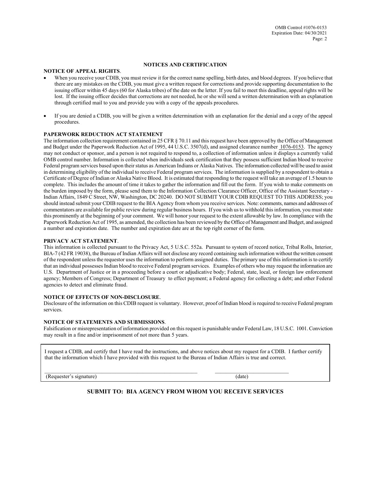#### **NOTICES AND CERTIFICATION**

#### **NOTICE OF APPEAL RIGHTS**.

- When you receive your CDIB, you must review it for the correct name spelling, birth dates, and blood degrees. If you believe that there are any mistakes on the CDIB, you must give a written request for corrections and provide supporting documentation to the issuing officer within 45 days (60 for Alaska tribes) of the date on the letter. If you fail to meet this deadline, appeal rights will be lost. If the issuing officer decides that corrections are not needed, he or she will send a written determination with an explanation through certified mail to you and provide you with a copy of the appeals procedures.
- If you are denied a CDIB, you will be given a written determination with an explanation for the denial and a copy of the appeal procedures.

#### **PAPERWORK REDUCTION ACT STATEMENT**

The information collection requirement contained in 25 CFR § 70.11 and this request have been approved by the Office of Management and Budget under the Paperwork Reduction Act of 1995, 44 U.S.C. 3507(d), and assigned clearance number 1076-0153. The agency may not conduct or sponsor, and a person is not required to respond to, a collection of information unless it displays a currently valid OMB control number. Information is collected when individuals seek certification that they possess sufficient Indian blood to receive Federal program services based upon their status as American Indians or Alaska Natives. The information collected will be used to assist in determining eligibility of the individual to receive Federal program services. The information is supplied by a respondent to obtain a Certificate of Degree of Indian or Alaska Native Blood. It is estimated that responding to the request will take an average of 1.5 hours to complete. This includes the amount of time it takes to gather the information and fill out the form. If you wish to make comments on the burden imposed by the form, please send them to the Information Collection Clearance Officer, Office of the Assistant Secretary - Indian Affairs, 1849 C Street, NW, Washington, DC 20240. DO NOT SUBMIT YOUR CDIB REQUEST TO THIS ADDRESS; you should instead submit your CDIB request to the BIA Agency from whom you receive services. Note: comments, names and addresses of commentators are available for public review during regular business hours. If you wish us to withhold this information, you must state this prominently at the beginning of your comment. We will honor your request to the extent allowable by law. In compliance with the Paperwork Reduction Act of 1995, as amended, the collection has been reviewed by the Office of Management and Budget, and assigned a number and expiration date. The number and expiration date are at the top right corner of the form.

#### **PRIVACY ACT STATEMENT**.

This information is collected pursuant to the Privacy Act, 5 U.S.C. 552a. Pursuant to system of record notice, Tribal Rolls, Interior, BIA-7 (42 FR 19038), the Bureau of Indian Affairs will not disclose any record containing such information without the written consent of the respondent unless the requestor uses the information to perform assigned duties. The primary use of this information is to certify that an individual possesses Indian blood to receive Federal program services. Examples of others who may request the information are U.S. Department of Justice or in a proceeding before a court or adjudicative body; Federal, state, local, or foreign law enforcement agency; Members of Congress; Department of Treasury to effect payment; a Federal agency for collecting a debt; and other Federal agencies to detect and eliminate fraud.

#### **NOTICE OF EFFECTS OF NON-DISCLOSURE**.

Disclosure of the information on this CDIB request is voluntary. However, proof of Indian blood is required to receive Federal program services.

#### **NOTICE OF STATEMENTS AND SUBMISSIONS**.

Falsification or misrepresentation of information provided on this request is punishable under Federal Law, 18 U.S.C. 1001. Conviction may result in a fine and/or imprisonment of not more than 5 years.

I request a CDIB, and certify that I have read the instructions, and above notices about my request for a CDIB. I further certify that the information which I have provided with this request to the Bureau of Indian Affairs is true and correct.

\_\_\_\_\_\_\_\_\_\_\_\_\_\_\_\_\_\_\_\_\_\_\_\_\_\_\_\_\_\_\_\_\_\_\_\_\_\_\_\_\_\_\_\_\_\_\_\_\_\_\_\_\_\_\_\_ \_\_\_\_\_\_\_\_\_\_\_\_\_\_\_\_\_\_\_\_\_\_\_\_\_\_\_

(Requester's signature) (date)

#### **SUBMIT TO: BIA AGENCY FROM WHOM YOU RECEIVE SERVICES**